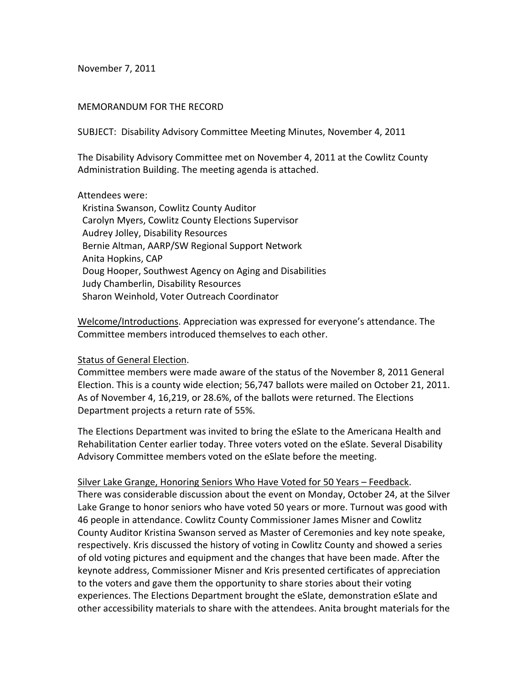November 7, 2011

## MEMORANDUM FOR THE RECORD

SUBJECT: Disability Advisory Committee Meeting Minutes, November 4, 2011

The Disability Advisory Committee met on November 4, 2011 at the Cowlitz County Administration Building. The meeting agenda is attached.

## Attendees were:

 Kristina Swanson, Cowlitz County Auditor Carolyn Myers, Cowlitz County Elections Supervisor Audrey Jolley, Disability Resources Bernie Altman, AARP/SW Regional Support Network Anita Hopkins, CAP Doug Hooper, Southwest Agency on Aging and Disabilities Judy Chamberlin, Disability Resources Sharon Weinhold, Voter Outreach Coordinator

Welcome/Introductions. Appreciation was expressed for everyone's attendance. The Committee members introduced themselves to each other.

## Status of General Election.

Committee members were made aware of the status of the November 8, 2011 General Election. This is a county wide election; 56,747 ballots were mailed on October 21, 2011. As of November 4, 16,219, or 28.6%, of the ballots were returned. The Elections Department projects a return rate of 55%.

The Elections Department was invited to bring the eSlate to the Americana Health and Rehabilitation Center earlier today. Three voters voted on the eSlate. Several Disability Advisory Committee members voted on the eSlate before the meeting.

Silver Lake Grange, Honoring Seniors Who Have Voted for 50 Years – Feedback. There was considerable discussion about the event on Monday, October 24, at the Silver Lake Grange to honor seniors who have voted 50 years or more. Turnout was good with 46 people in attendance. Cowlitz County Commissioner James Misner and Cowlitz County Auditor Kristina Swanson served as Master of Ceremonies and key note speake, respectively. Kris discussed the history of voting in Cowlitz County and showed a series of old voting pictures and equipment and the changes that have been made. After the keynote address, Commissioner Misner and Kris presented certificates of appreciation to the voters and gave them the opportunity to share stories about their voting experiences. The Elections Department brought the eSlate, demonstration eSlate and other accessibility materials to share with the attendees. Anita brought materials for the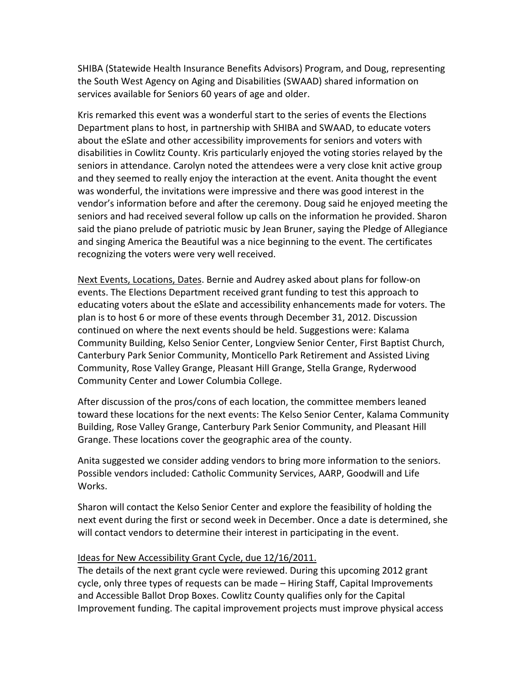SHIBA (Statewide Health Insurance Benefits Advisors) Program, and Doug, representing the South West Agency on Aging and Disabilities (SWAAD) shared information on services available for Seniors 60 years of age and older.

Kris remarked this event was a wonderful start to the series of events the Elections Department plans to host, in partnership with SHIBA and SWAAD, to educate voters about the eSlate and other accessibility improvements for seniors and voters with disabilities in Cowlitz County. Kris particularly enjoyed the voting stories relayed by the seniors in attendance. Carolyn noted the attendees were a very close knit active group and they seemed to really enjoy the interaction at the event. Anita thought the event was wonderful, the invitations were impressive and there was good interest in the vendor's information before and after the ceremony. Doug said he enjoyed meeting the seniors and had received several follow up calls on the information he provided. Sharon said the piano prelude of patriotic music by Jean Bruner, saying the Pledge of Allegiance and singing America the Beautiful was a nice beginning to the event. The certificates recognizing the voters were very well received.

Next Events, Locations, Dates. Bernie and Audrey asked about plans for follow‐on events. The Elections Department received grant funding to test this approach to educating voters about the eSlate and accessibility enhancements made for voters. The plan is to host 6 or more of these events through December 31, 2012. Discussion continued on where the next events should be held. Suggestions were: Kalama Community Building, Kelso Senior Center, Longview Senior Center, First Baptist Church, Canterbury Park Senior Community, Monticello Park Retirement and Assisted Living Community, Rose Valley Grange, Pleasant Hill Grange, Stella Grange, Ryderwood Community Center and Lower Columbia College.

After discussion of the pros/cons of each location, the committee members leaned toward these locations for the next events: The Kelso Senior Center, Kalama Community Building, Rose Valley Grange, Canterbury Park Senior Community, and Pleasant Hill Grange. These locations cover the geographic area of the county.

Anita suggested we consider adding vendors to bring more information to the seniors. Possible vendors included: Catholic Community Services, AARP, Goodwill and Life Works.

Sharon will contact the Kelso Senior Center and explore the feasibility of holding the next event during the first or second week in December. Once a date is determined, she will contact vendors to determine their interest in participating in the event.

## Ideas for New Accessibility Grant Cycle, due 12/16/2011.

The details of the next grant cycle were reviewed. During this upcoming 2012 grant cycle, only three types of requests can be made – Hiring Staff, Capital Improvements and Accessible Ballot Drop Boxes. Cowlitz County qualifies only for the Capital Improvement funding. The capital improvement projects must improve physical access